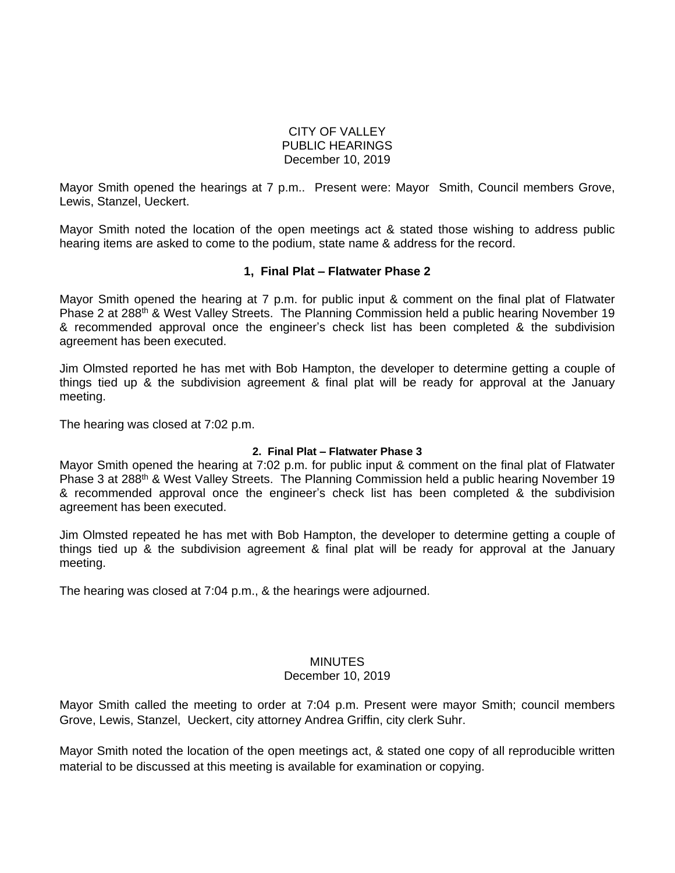### CITY OF VALLEY PUBLIC HEARINGS December 10, 2019

Mayor Smith opened the hearings at 7 p.m.. Present were: Mayor Smith, Council members Grove, Lewis, Stanzel, Ueckert.

Mayor Smith noted the location of the open meetings act & stated those wishing to address public hearing items are asked to come to the podium, state name & address for the record.

## **1, Final Plat – Flatwater Phase 2**

Mayor Smith opened the hearing at 7 p.m. for public input & comment on the final plat of Flatwater Phase 2 at 288<sup>th</sup> & West Valley Streets. The Planning Commission held a public hearing November 19 & recommended approval once the engineer's check list has been completed & the subdivision agreement has been executed.

Jim Olmsted reported he has met with Bob Hampton, the developer to determine getting a couple of things tied up & the subdivision agreement & final plat will be ready for approval at the January meeting.

The hearing was closed at 7:02 p.m.

#### **2. Final Plat – Flatwater Phase 3**

Mayor Smith opened the hearing at 7:02 p.m. for public input & comment on the final plat of Flatwater Phase 3 at 288<sup>th</sup> & West Valley Streets. The Planning Commission held a public hearing November 19 & recommended approval once the engineer's check list has been completed & the subdivision agreement has been executed.

Jim Olmsted repeated he has met with Bob Hampton, the developer to determine getting a couple of things tied up & the subdivision agreement & final plat will be ready for approval at the January meeting.

The hearing was closed at 7:04 p.m., & the hearings were adjourned.

# **MINUTES**

### December 10, 2019

Mayor Smith called the meeting to order at 7:04 p.m. Present were mayor Smith; council members Grove, Lewis, Stanzel, Ueckert, city attorney Andrea Griffin, city clerk Suhr.

Mayor Smith noted the location of the open meetings act, & stated one copy of all reproducible written material to be discussed at this meeting is available for examination or copying.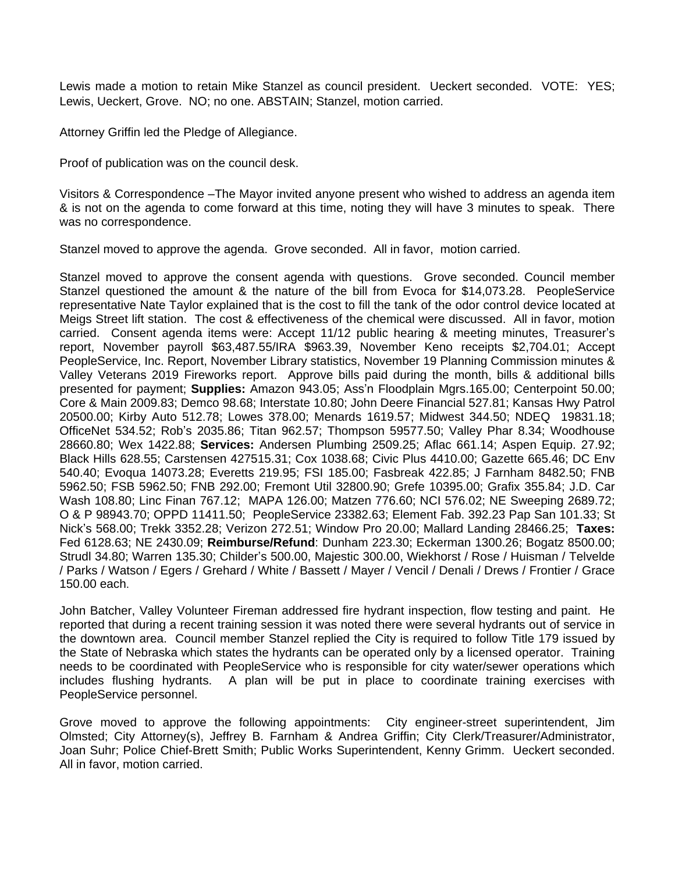Lewis made a motion to retain Mike Stanzel as council president. Ueckert seconded. VOTE: YES; Lewis, Ueckert, Grove. NO; no one. ABSTAIN; Stanzel, motion carried.

Attorney Griffin led the Pledge of Allegiance.

Proof of publication was on the council desk.

Visitors & Correspondence –The Mayor invited anyone present who wished to address an agenda item & is not on the agenda to come forward at this time, noting they will have 3 minutes to speak. There was no correspondence.

Stanzel moved to approve the agenda. Grove seconded. All in favor, motion carried.

Stanzel moved to approve the consent agenda with questions. Grove seconded. Council member Stanzel questioned the amount & the nature of the bill from Evoca for \$14,073.28. PeopleService representative Nate Taylor explained that is the cost to fill the tank of the odor control device located at Meigs Street lift station. The cost & effectiveness of the chemical were discussed. All in favor, motion carried. Consent agenda items were: Accept 11/12 public hearing & meeting minutes, Treasurer's report, November payroll \$63,487.55/IRA \$963.39, November Keno receipts \$2,704.01; Accept PeopleService, Inc. Report, November Library statistics, November 19 Planning Commission minutes & Valley Veterans 2019 Fireworks report. Approve bills paid during the month, bills & additional bills presented for payment; **Supplies:** Amazon 943.05; Ass'n Floodplain Mgrs.165.00; Centerpoint 50.00; Core & Main 2009.83; Demco 98.68; Interstate 10.80; John Deere Financial 527.81; Kansas Hwy Patrol 20500.00; Kirby Auto 512.78; Lowes 378.00; Menards 1619.57; Midwest 344.50; NDEQ 19831.18; OfficeNet 534.52; Rob's 2035.86; Titan 962.57; Thompson 59577.50; Valley Phar 8.34; Woodhouse 28660.80; Wex 1422.88; **Services:** Andersen Plumbing 2509.25; Aflac 661.14; Aspen Equip. 27.92; Black Hills 628.55; Carstensen 427515.31; Cox 1038.68; Civic Plus 4410.00; Gazette 665.46; DC Env 540.40; Evoqua 14073.28; Everetts 219.95; FSI 185.00; Fasbreak 422.85; J Farnham 8482.50; FNB 5962.50; FSB 5962.50; FNB 292.00; Fremont Util 32800.90; Grefe 10395.00; Grafix 355.84; J.D. Car Wash 108.80; Linc Finan 767.12; MAPA 126.00; Matzen 776.60; NCI 576.02; NE Sweeping 2689.72; O & P 98943.70; OPPD 11411.50; PeopleService 23382.63; Element Fab. 392.23 Pap San 101.33; St Nick's 568.00; Trekk 3352.28; Verizon 272.51; Window Pro 20.00; Mallard Landing 28466.25; **Taxes:** Fed 6128.63; NE 2430.09; **Reimburse/Refund**: Dunham 223.30; Eckerman 1300.26; Bogatz 8500.00; Strudl 34.80; Warren 135.30; Childer's 500.00, Majestic 300.00, Wiekhorst / Rose / Huisman / Telvelde / Parks / Watson / Egers / Grehard / White / Bassett / Mayer / Vencil / Denali / Drews / Frontier / Grace 150.00 each.

John Batcher, Valley Volunteer Fireman addressed fire hydrant inspection, flow testing and paint. He reported that during a recent training session it was noted there were several hydrants out of service in the downtown area. Council member Stanzel replied the City is required to follow Title 179 issued by the State of Nebraska which states the hydrants can be operated only by a licensed operator. Training needs to be coordinated with PeopleService who is responsible for city water/sewer operations which includes flushing hydrants. A plan will be put in place to coordinate training exercises with PeopleService personnel.

Grove moved to approve the following appointments: City engineer-street superintendent, Jim Olmsted; City Attorney(s), Jeffrey B. Farnham & Andrea Griffin; City Clerk/Treasurer/Administrator, Joan Suhr; Police Chief-Brett Smith; Public Works Superintendent, Kenny Grimm. Ueckert seconded. All in favor, motion carried.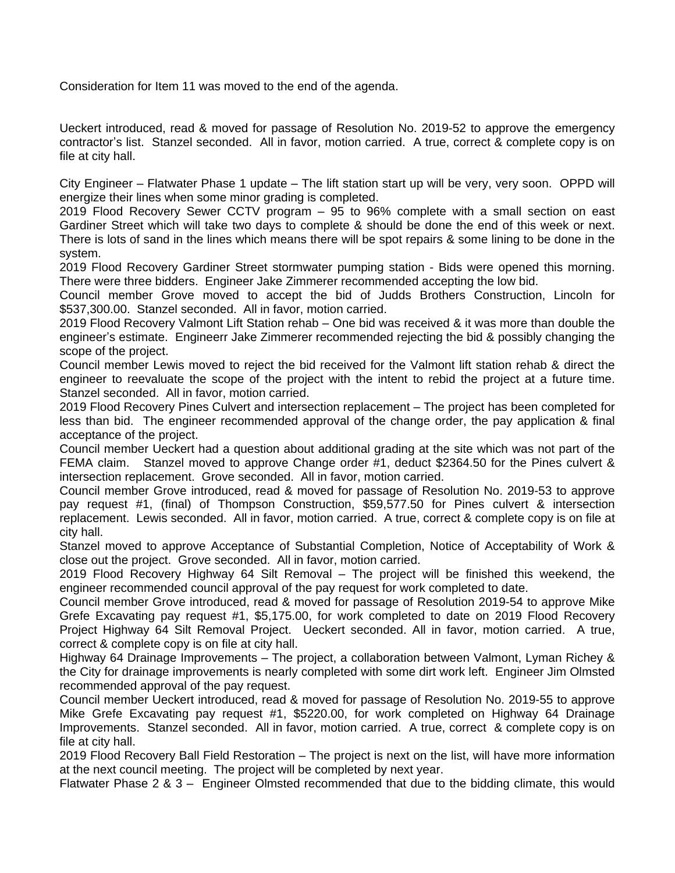Consideration for Item 11 was moved to the end of the agenda.

Ueckert introduced, read & moved for passage of Resolution No. 2019-52 to approve the emergency contractor's list. Stanzel seconded. All in favor, motion carried. A true, correct & complete copy is on file at city hall.

City Engineer – Flatwater Phase 1 update – The lift station start up will be very, very soon. OPPD will energize their lines when some minor grading is completed.

2019 Flood Recovery Sewer CCTV program – 95 to 96% complete with a small section on east Gardiner Street which will take two days to complete & should be done the end of this week or next. There is lots of sand in the lines which means there will be spot repairs & some lining to be done in the system.

2019 Flood Recovery Gardiner Street stormwater pumping station - Bids were opened this morning. There were three bidders. Engineer Jake Zimmerer recommended accepting the low bid.

Council member Grove moved to accept the bid of Judds Brothers Construction, Lincoln for \$537,300.00. Stanzel seconded. All in favor, motion carried.

2019 Flood Recovery Valmont Lift Station rehab – One bid was received & it was more than double the engineer's estimate. Engineerr Jake Zimmerer recommended rejecting the bid & possibly changing the scope of the project.

Council member Lewis moved to reject the bid received for the Valmont lift station rehab & direct the engineer to reevaluate the scope of the project with the intent to rebid the project at a future time. Stanzel seconded. All in favor, motion carried.

2019 Flood Recovery Pines Culvert and intersection replacement – The project has been completed for less than bid. The engineer recommended approval of the change order, the pay application & final acceptance of the project.

Council member Ueckert had a question about additional grading at the site which was not part of the FEMA claim. Stanzel moved to approve Change order #1, deduct \$2364.50 for the Pines culvert & intersection replacement. Grove seconded. All in favor, motion carried.

Council member Grove introduced, read & moved for passage of Resolution No. 2019-53 to approve pay request #1, (final) of Thompson Construction, \$59,577.50 for Pines culvert & intersection replacement. Lewis seconded. All in favor, motion carried. A true, correct & complete copy is on file at city hall.

Stanzel moved to approve Acceptance of Substantial Completion, Notice of Acceptability of Work & close out the project. Grove seconded. All in favor, motion carried.

2019 Flood Recovery Highway 64 Silt Removal – The project will be finished this weekend, the engineer recommended council approval of the pay request for work completed to date.

Council member Grove introduced, read & moved for passage of Resolution 2019-54 to approve Mike Grefe Excavating pay request #1, \$5,175.00, for work completed to date on 2019 Flood Recovery Project Highway 64 Silt Removal Project. Ueckert seconded. All in favor, motion carried. A true, correct & complete copy is on file at city hall.

Highway 64 Drainage Improvements – The project, a collaboration between Valmont, Lyman Richey & the City for drainage improvements is nearly completed with some dirt work left. Engineer Jim Olmsted recommended approval of the pay request.

Council member Ueckert introduced, read & moved for passage of Resolution No. 2019-55 to approve Mike Grefe Excavating pay request #1, \$5220.00, for work completed on Highway 64 Drainage Improvements. Stanzel seconded. All in favor, motion carried. A true, correct & complete copy is on file at city hall.

2019 Flood Recovery Ball Field Restoration – The project is next on the list, will have more information at the next council meeting. The project will be completed by next year.

Flatwater Phase 2 & 3 – Engineer Olmsted recommended that due to the bidding climate, this would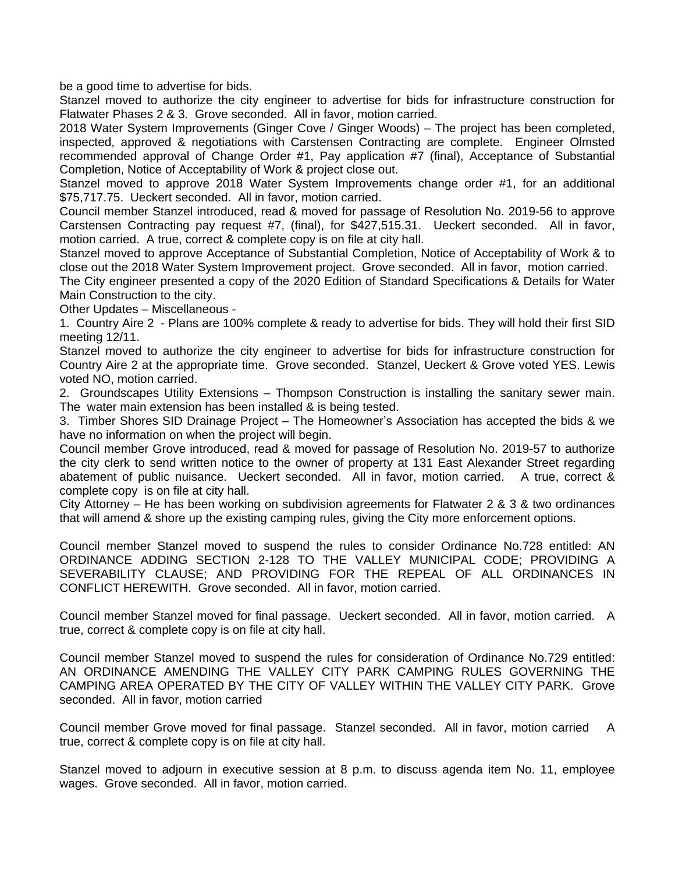be a good time to advertise for bids.

Stanzel moved to authorize the city engineer to advertise for bids for infrastructure construction for Flatwater Phases 2 & 3. Grove seconded. All in favor, motion carried.

2018 Water System Improvements (Ginger Cove / Ginger Woods) – The project has been completed, inspected, approved & negotiations with Carstensen Contracting are complete. Engineer Olmsted recommended approval of Change Order #1, Pay application #7 (final), Acceptance of Substantial Completion, Notice of Acceptability of Work & project close out.

Stanzel moved to approve 2018 Water System Improvements change order #1, for an additional \$75,717.75. Ueckert seconded. All in favor, motion carried.

Council member Stanzel introduced, read & moved for passage of Resolution No. 2019-56 to approve Carstensen Contracting pay request #7, (final), for \$427,515.31. Ueckert seconded. All in favor, motion carried. A true, correct & complete copy is on file at city hall.

Stanzel moved to approve Acceptance of Substantial Completion, Notice of Acceptability of Work & to close out the 2018 Water System Improvement project. Grove seconded. All in favor, motion carried.

The City engineer presented a copy of the 2020 Edition of Standard Specifications & Details for Water Main Construction to the city.

Other Updates – Miscellaneous -

1. Country Aire 2 - Plans are 100% complete & ready to advertise for bids. They will hold their first SID meeting 12/11.

Stanzel moved to authorize the city engineer to advertise for bids for infrastructure construction for Country Aire 2 at the appropriate time. Grove seconded. Stanzel, Ueckert & Grove voted YES. Lewis voted NO, motion carried.

2. Groundscapes Utility Extensions – Thompson Construction is installing the sanitary sewer main. The water main extension has been installed & is being tested.

3. Timber Shores SID Drainage Project – The Homeowner's Association has accepted the bids & we have no information on when the project will begin.

Council member Grove introduced, read & moved for passage of Resolution No. 2019-57 to authorize the city clerk to send written notice to the owner of property at 131 East Alexander Street regarding abatement of public nuisance. Ueckert seconded. All in favor, motion carried. A true, correct & complete copy is on file at city hall.

City Attorney – He has been working on subdivision agreements for Flatwater 2 & 3 & two ordinances that will amend & shore up the existing camping rules, giving the City more enforcement options.

Council member Stanzel moved to suspend the rules to consider Ordinance No.728 entitled: AN ORDINANCE ADDING SECTION 2-128 TO THE VALLEY MUNICIPAL CODE; PROVIDING A SEVERABILITY CLAUSE; AND PROVIDING FOR THE REPEAL OF ALL ORDINANCES IN CONFLICT HEREWITH. Grove seconded. All in favor, motion carried.

Council member Stanzel moved for final passage. Ueckert seconded. All in favor, motion carried. A true, correct & complete copy is on file at city hall.

Council member Stanzel moved to suspend the rules for consideration of Ordinance No.729 entitled: AN ORDINANCE AMENDING THE VALLEY CITY PARK CAMPING RULES GOVERNING THE CAMPING AREA OPERATED BY THE CITY OF VALLEY WITHIN THE VALLEY CITY PARK. Grove seconded. All in favor, motion carried

Council member Grove moved for final passage. Stanzel seconded. All in favor, motion carried A true, correct & complete copy is on file at city hall.

Stanzel moved to adjourn in executive session at 8 p.m. to discuss agenda item No. 11, employee wages. Grove seconded. All in favor, motion carried.